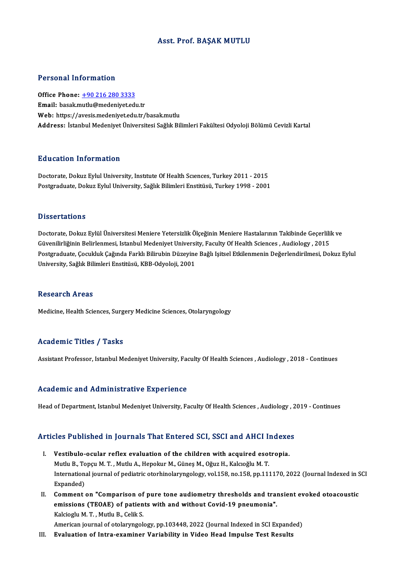# Asst. Prof. BAŞAK MUTLU

## Personal Information

Office Phone: +90 216 280 3333 Email: basak.[mutlu@medeniyet.ed](tel:+90 216 280 3333)u.tr Web: https://avesis.medeniyet.edu.tr/basak.mutlu Address: İstanbul Medeniyet Üniversitesi Sağlık Bilimleri Fakültesi Odyoloji Bölümü Cevizli Kartal

## Education Information

Doctorate, Dokuz Eylul University, Institute Of Health Sciences, Turkey 2011 - 2015 Postgraduate, Dokuz Eylul University, Sağlık Bilimleri Enstitüsü, Turkey 1998 - 2001

### **Dissertations**

Doctorate, Dokuz Eylül Üniversitesi Meniere Yetersizlik Ölçeğinin Meniere Hastalarının Takibinde Geçerlilik ve Basser tatronis<br>Doctorate, Dokuz Eylül Üniversitesi Meniere Yetersizlik Ölçeğinin Meniere Hastalarının Takibinde Geçerlili<br>Güvenilirliğinin Belirlenmesi, Istanbul Medeniyet University, Faculty Of Health Sciences , Audiolog Postgraduate, Çocukluk Çağında Farklı Bilirubin Düzeyine Bağlı Işitsel Etkilenmenin Değerlendirilmesi, Dokuz Eylul<br>University, Sağlık Bilimleri Enstitüsü, KBB-Odyoloji, 2001 Güvenilirliğinin Belirlenmesi, Istanbul Medeniyet Universi<br>Postgraduate, Çocukluk Çağında Farklı Bilirubin Düzeyine<br>University, Sağlık Bilimleri Enstitüsü, KBB-Odyoloji, 2001

### Research Areas

Medicine, Health Sciences, Surgery Medicine Sciences, Otolaryngology

# Academic Titles / Tasks

Assistant Professor, Istanbul Medeniyet University, Faculty Of Health Sciences , Audiology , 2018 - Continues

### Academic and Administrative Experience

Head of Department, Istanbul Medeniyet University, Faculty Of Health Sciences , Audiology , 2019 - Continues

# nead of Department, istanbul Medeniyet University, Factity Of Health Sciences , Audiology , 2<br>Articles Published in Journals That Entered SCI, SSCI and AHCI Indexes

- rticles Published in Journals That Entered SCI, SSCI and AHCI Indexe<br>I. Vestibulo-ocular reflex evaluation of the children with acquired esotropia.<br>Muth B. Tengu M.T. Muth A. Hangkur M. Günes M. Oğuz H. Kalgoğlu M.T. Mutlub Turning and The Enter on 831, 2001 and Theory.<br>Mutlu B., Topçu M. T. , Mutlu A., Hepokur M., Güneş M., Oğuz H., Kalcıoğlu M. T.<br>International journal of nediatric eterhinelerungeleru vel 159, ne 159, np 111 I. Vestibulo-ocular reflex evaluation of the children with acquired esotropia.<br>Mutlu B., Topçu M. T. , Mutlu A., Hepokur M., Güneş M., Oğuz H., Kalcıoğlu M. T.<br>International journal of pediatric otorhinolaryngology, vol.15 Mutlu B., To<br>Internation:<br>Expanded)<br>Commont
- II. Comment on "Comparison of pure tone audiometry thresholds and transient evoked otoacoustic Expanded)<br>Comment on "Comparison of pure tone audiometry thresholds and tran<br>emissions (TEOAE) of patients with and without Covid-19 pneumonia".<br>Kakiagh M.T. Muth: B. Colik S. Comment on "Comparison of<br>emissions (TEOAE) of patien<br>Kalcioglu M.T., Mutlu B., Celik S.<br>Amerisan iournal of stelerungel Kalcioglu M. T. , Mutlu B., Celik S.<br>American journal of otolaryngology, pp.103448, 2022 (Journal Indexed in SCI Expanded)

III. Evaluation of Intra-examiner Variability in Video Head Impulse Test Results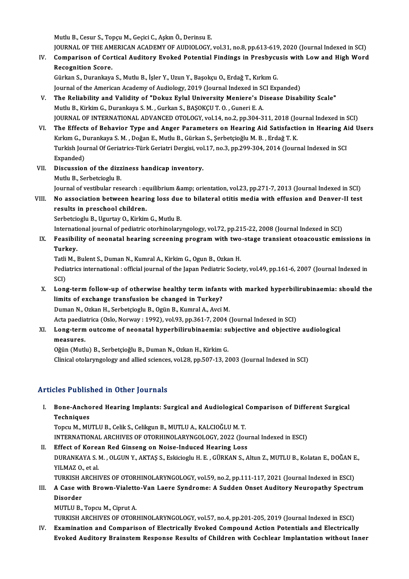MutluB.,Cesur S.,TopçuM.,GeçiciC.,AşkınÖ.,DerinsuE.

Mutlu B., Cesur S., Topçu M., Geçici C., Aşkın Ö., Derinsu E.<br>JOURNAL OF THE AMERICAN ACADEMY OF AUDIOLOGY, vol.31, no.8, pp.613-619, 2020 (Journal Indexed in SCI)<br>Comparison of Cortical Auditory Evoked Potential Eindings

Mutlu B., Cesur S., Topçu M., Geçici C., Aşkın Ö., Derinsu E.<br>JOURNAL OF THE AMERICAN ACADEMY OF AUDIOLOGY, vol.31, no.8, pp.613-619, 2020 (Journal Indexed in SCI)<br>IV. Comparison of Cortical Auditory Evoked Potential Findi **JOURNAL OF THE AM<br>Comparison of Cor<br>Recognition Score.**<br>Cürkon S. Durankava IV. Comparison of Cortical Auditory Evoked Potential Findings in Presbycusis with Low and High Word<br>Recognition Score.<br>Gürkan S., Durankaya S., Mutlu B., İşler Y., Uzun Y., Başokçu O., Erdağ T., Kırkım G.

Journal of the American Academy of Audiology, 2019 (Journal Indexed in SCI Expanded)

- Gürkan S., Durankaya S., Mutlu B., İşler Y., Uzun Y., Başokçu O., Erdağ T., Kırkım G.<br>Journal of the American Academy of Audiology, 2019 (Journal Indexed in SCI Expanded)<br>V. The Reliability and Validity of "Dokuz Eylul Uni Journal of the American Academy of Audiology, 2019 (Journal Indexed in SC<br>The Reliability and Validity of "Dokuz Eylul University Meniere's D<br>Mutlu B., Kirkim G., Durankaya S. M. , Gurkan S., BAŞOKÇU T. O. , Guneri E. A.<br>J Mutlu B., Kirkim G., Durankaya S. M. , Gurkan S., BAŞOKÇU T. O. , Guneri E. A.<br>JOURNAL OF INTERNATIONAL ADVANCED OTOLOGY, vol.14, no.2, pp.304-311, 2018 (Journal Indexed in SCI)
- Mutlu B., Kirkim G., Durankaya S. M. , Gurkan S., BAŞOKÇU T. O. , Guneri E. A.<br>JOURNAL OF INTERNATIONAL ADVANCED OTOLOGY, vol.14, no.2, pp.304-311, 2018 (Journal Indexed in SCI)<br>VI. The Effects of Behavior Type and Anger P JOURNAL OF INTERNATIONAL ADVANCED OTOLOGY, vol.14, no.2, pp.304-311, 2018 (Jo<br>The Effects of Behavior Type and Anger Parameters on Hearing Aid Satisfacti<br>Kırkım G., Durankaya S.M. , Doğan E., Mutlu B., Gürkan S., Şerbetçio The Effects of Behavior Type and Anger Parameters on Hearing Aid Satisfaction in Hearing A<br>Kırkım G., Durankaya S. M. , Doğan E., Mutlu B., Gürkan S., Şerbetçioğlu M. B. , Erdağ T. K.<br>Turkish Journal Of Geriatrics-Türk Ger Kırkım G., Durankaya S. M. , Doğan E., Mutlu B., Gürkan S., Şerbetçioğlu M. B. , Erdağ T. K.<br>Turkish Journal Of Geriatrics-Türk Geriatri Dergisi, vol.17, no.3, pp.299-304, 2014 (Journal Indexed in SCI<br>Expanded) Turkish Journal Of Geriatrics-Türk Geriatri Dergisi, vol<br>Expanded)<br>VII. Discussion of the dizziness handicap inventory.<br>Muth B. Serbetsiegh: B.
- Expanded)<br>Discussion of the dizz<br>Mutlu B., Serbetcioglu B.<br>Journal of vestibular nes Mutlu B., Serbetcioglu B.<br>Journal of vestibular research : equilibrium &amp; orientation, vol.23, pp.271-7, 2013 (Journal Indexed in SCI) Mutlu B., Serbetcioglu B.<br>Journal of vestibular research : equilibrium &amp; orientation, vol.23, pp.271-7, 2013 (Journal Indexed in SCI)<br>VIII. No association between hearing loss due to bilateral otitis media with effusio
- Journal of vestibular research : eo<br>No association between heari<br>results in preschool children.<br>Serbetsiech: B. Hautou O. Kirkir results in preschool children.<br>Serbetcioglu B., Ugurtay O., Kirkim G., Mutlu B. results in preschool children.<br>Serbetcioglu B., Ugurtay O., Kirkim G., Mutlu B.<br>International journal of pediatric otorhinolaryngology, vol.72, pp.215-22, 2008 (Journal Indexed in SCI)<br>Essaibility of neenatal bearing espec

IX. Feasibility of neonatal hearing screening program with two-stage transient otoacoustic emissions in Turkey. Internat<mark>i</mark><br>Feasibil<br>Turkey.<br><sup>Tatli M</sub></sup> Feasibility of neonatal hearing screening program with two<br>Turkey.<br>Tatli M., Bulent S., Duman N., Kumral A., Kirkim G., Ogun B., Ozkan H.<br>Pediatrics international : official journal of the Japan Bediatric Secie

**Turkey.**<br>Tatli M., Bulent S., Duman N., Kumral A., Kirkim G., Ogun B., Ozkan H.<br>Pediatrics international : official journal of the Japan Pediatric Society, vol.49, pp.161-6, 2007 (Journal Indexed in<br>SCD Tatli<br>Pedia<br>SCI)<br>Long Pediatrics international : official journal of the Japan Pediatric Society, vol.49, pp.161-6, 2007 (Journal Indexed in SCI)<br>SCI)<br>X. Long-term follow-up of otherwise healthy term infants with marked hyperbilirubinaemia: sho

- SCI)<br>Long-term follow-up of otherwise healthy term infant<br>limits of exchange transfusion be changed in Turkey?<br>Duman N. Orkan H. Serbetejech: B. Orün B. Kumral A. Avgi Long-term follow-up of otherwise healthy term infants<br>limits of exchange transfusion be changed in Turkey?<br>Duman N., Ozkan H., Serbetçioglu B., Ogün B., Kumral A., Avci M.<br>Asta paedistrica (Oslo Norway : 1992), val 92, pp. limits of exchange transfusion be changed in Turkey?<br>Duman N., Ozkan H., Serbetçioglu B., Ogün B., Kumral A., Avci M.<br>Acta paediatrica (Oslo, Norway : 1992), vol.93, pp.361-7, 2004 (Journal Indexed in SCI)<br>Long term outsom
- Duman N., Ozkan H., Serbetçioglu B., Ogün B., Kumral A., Avci M.<br>Acta paediatrica (Oslo, Norway : 1992), vol.93, pp.361-7, 2004 (Journal Indexed in SCI)<br>XI. Long-term outcome of neonatal hyperbilirubinaemia: subjective and Acta paedia<br>Long-term<br>measures.<br>Oğün (Mutl

Oğün (Mutlu) B., Serbetçioğlu B., Duman N., Ozkan H., Kirkim G.

Clinical otolaryngology and allied sciences, vol.28, pp.507-13, 2003 (Journal Indexed in SCI)

# Articles Published in Other Journals

I. Bone-Anchored Hearing Implants: Surgical and Audiological Comparison of Different Surgical nes 1 asns.<br>Bone-Ancho<br>Techniques<br>Tongy M. MU Bone-Anchored Hearing Implants: Surgical and Audiological (<br>Techniques<br>Topcu M., MUTLU B., Celik S., Celikgun B., MUTLU A., KALCIOĞLU M. T.<br>INTERNATIONAL ARCHIVES OF OTORHINOLARYNCOLOGY 2022 (Je)

Techniques<br>Topcu M., MUTLU B., Celik S., Celikgun B., MUTLU A., KALCIOĞLU M. T.<br>INTERNATIONAL ARCHIVES OF OTORHINOLARYNGOLOGY, 2022 (Journal Indexed in ESCI) Topcu M., MUTLU B., Celik S., Celikgun B., MUTLU A., KALCIOĞLU M. T.<br>INTERNATIONAL ARCHIVES OF OTORHINOLARYNGOLOGY, 2022 (Journal Red Ginseng on Noise-Induced Hearing Loss<br>DIRANKAYA S.M., OLGUN Y. AKTAS S. Felicischu H. E.

- DURANKAYA S. M. , OLGUN Y., AKTAŞ S., Eskicioglu H. E. , GÜRKAN S., Altun Z., MUTLU B., Kolatan E., DOĞAN E.,<br>YILMAZ O., et al. II. Effect of Korean Red Ginseng on Noise-Induced Hearing Loss DURANKAYA S. M. , OLGUN Y., AKTAŞ S., Eskicioglu H. E. , GÜRKAN S., Altun Z., MUTLU B., Kolatan E., DOĞAN E<br>YILMAZ O., et al.<br>TURKISH ARCHIVES OF OTORHINOLARYNGOLOGY, vol.59, no.2, pp.111-117, 2021 (Journal Indexed in ESCI YILMAZ 0., et al.<br>TURKISH ARCHIVES OF OTORHINOLARYNGOLOGY, vol.59, no.2, pp.111-117, 2021 (Journal Indexed in ESCI)<br>III. A Case with Brown-Vialetto-Van Laere Syndrome: A Sudden Onset Auditory Neuropathy Spectrum<br>Disend
- TURKISH<br>A Case wi<br>Disorder<br>MUTU U P **A Case with Brown-Vialett<br>Disorder<br>MUTLU B., Topcu M., Ciprut A.<br>TURELY ARCHIVES OF OTOR** Disorder<br>MUTLU B., Topcu M., Ciprut A.<br>TURKISH ARCHIVES OF OTORHINOLARYNGOLOGY, vol.57, no.4, pp.201-205, 2019 (Journal Indexed in ESCI)<br>Examination and Comparison of Electrically Evoked Compaund Action Potentials and Elec

MUTLU B., Topcu M., Ciprut A.<br>TURKISH ARCHIVES OF OTORHINOLARYNGOLOGY, vol.57, no.4, pp.201-205, 2019 (Journal Indexed in ESCI)<br>IV. Examination and Comparison of Electrically Evoked Compound Action Potentials and Electrica TURKISH ARCHIVES OF OTORHINOLARYNGOLOGY, vol.57, no.4, pp.201-205, 2019 (Journal Indexed in ESCI)<br>Examination and Comparison of Electrically Evoked Compound Action Potentials and Electrically<br>Evoked Auditory Brainstem Resp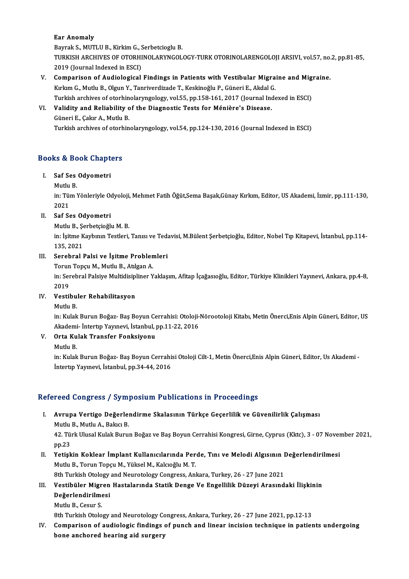## Ear Anomaly

Bayrak S., MUTLU B., Kirkim G., Serbetcioglu B. Ear Anomaly<br>Bayrak S., MUTLU B., Kirkim G., Serbetcioglu B.<br>TURKISH ARCHIVES OF OTORHINOLARYNGOLOGY-TURK OTORINOLARENGOLOJI ARSIVI, vol.57, no.2, pp.81-85,<br>2010 (Jaurnal Indaued in ESC) Bayrak S., MUTLU B., Kirkim G., S<br>TURKISH ARCHIVES OF OTORHI<br>2019 (Journal Indexed in ESCI)<br>Comnanison of Audiological TURKISH ARCHIVES OF OTORHINOLARYNGOLOGY-TURK OTORINOLARENGOLOJI ARSIVI, vol.57, no.<br>2019 (Journal Indexed in ESCI)<br>V. Comparison of Audiological Findings in Patients with Vestibular Migraine and Migraine.<br>Kulam C. Mutly B.

- 2019 (Journal Indexed in ESCI)<br><mark>Comparison of Audiological Findings in Patients with Vestibular Migra</mark><br>Kırkım G., Mutlu B., Olgun Y., Tanriverdizade T., Keskinoğlu P., Güneri E., Akdal G.<br>Turkish arshives of oterhinologung Comparison of Audiological Findings in Patients with Vestibular Migraine and Mig<br>Kırkım G., Mutlu B., Olgun Y., Tanriverdizade T., Keskinoğlu P., Güneri E., Akdal G.<br>Turkish archives of otorhinolaryngology, vol.55, pp.158-Kırkım G., Mutlu B., Olgun Y., Tanriverdizade T., Keskinoğlu P., Güneri E., Akdal G.<br>Turkish archives of otorhinolaryngology, vol.55, pp.158-161, 2017 (Journal Inde<br>VI. Validity and Reliability of the Diagnostic Tests for Turkish archives of otorhinolaryngology, vol.55, pp.158-161, 2017 (Journal Indexed in ESCI)
- 

Turkish archives of otorhinolaryngology, vol.54, pp.124-130, 2016 (Journal Indexed in ESCI)

# **Turkish archives of otorn**<br>Books & Book Chapters ooks & Book Chapt<br>I. Saf Ses Odyometri<br>Muth P

# I. Saf Ses Odyometri<br>Mutlu B.

Saf Ses Odyometri<br>Mutlu B.<br>in: Tüm Yönleriyle Odyoloji, Mehmet Fatih Öğüt,Sema Başak,Günay Kırkım, Editor, US Akademi, İzmir, pp.111-130, Mutlu<br>in: Tüi<br>2021<br>Sof Sc 2021<br>Saf Ses Odyometri<br>Mutlu B., Şerbetçioğlu M. B.<br>inı İsitme Kaybının Testleri

# 2021<br>II. Saf Ses Odyometri

in: İşitme Kaybının Testleri, Tanısı ve Tedavisi, M.Bülent Şerbetçioğlu, Editor, Nobel Tıp Kitapevi, İstanbul, pp.114-<br>135. 2021 Mutlu B., Şe<br>in: İşitme K<br>135, 2021<br>Sarahral I 135, 2021<br>Serebral Palsi ve İşitme Problen<br>Torun Topçu M., Mutlu B., Atılgan A.<br>inı Serebral Palsive Multidisinliner V

## III. Serebral Palsi ve İşitme Problemleri

in: Serebral Palsiye Multidisipliner Yaklaşım, Afitap İçağasıoğlu, Editor, Türkiye Klinikleri Yayınevi, Ankara, pp.4-8,<br>2019 Torun<br>in: Ser<br>2019<br>Vestil in: Serebral Palsiye Multidisip<br>2019<br>IV. Vestibuler Rehabilitasyon<br>Muthy P 2019<br>Vestibu<br>Mutlu B.<br>in: Kulak

Mutlu B.<br>in: Kulak Burun Boğaz- Baş Boyun Cerrahisi: Otoloji-Nörootoloji Kitabı, Metin Önerci,Enis Alpin Güneri, Editor, US Mutlu B.<br>in: Kulak Burun Boğaz- Baş Boyun Cerrahisi: Otoloji-<br>Akademi- İntertıp Yayınevi, İstanbul, pp.11-22, 2016<br>Orta Kulak Tranafar Fankaiyanu Akademi<br>**Orta Ku**<br>Mutlu B.<br>in: Kulak

# V. Orta Kulak Transfer Fonksiyonu

Orta Kulak Transfer Fonksiyonu<br>Mutlu B.<br>in: Kulak Burun Boğaz- Baş Boyun Cerrahisi Otoloji Cilt-1, Metin Önerci,Enis Alpin Güneri, Editor, Us Akademi -Mutlu B.<br>in: Kulak Burun Boğaz- Baş Boyun Cerrahi<br>İntertıp Yayınevi, İstanbul, pp.34-44, 2016

# intertip Yayınevi, İstanbul, pp.34-44, 2016<br>Refereed Congress / Symposium Publications in Proceedings

efereed Congress / Symposium Publications in Proceedings<br>I. Avrupa Vertigo Değerlendirme Skalasının Türkçe Geçerlilik ve Güvenilirlik Çalışması<br>Mutlu B. Mutlu A. Balası B. Avrupa Vertigo Değerler<br>Mutlu B., Mutlu A., Bakıcı B.<br>42. Türk Ulusal Kulak Buru Mutlu B., Mutlu A., Bakıcı B.

42. Türk Ulusal Kulak Burun Boğaz ve Baş Boyun Cerrahisi Kongresi, Girne, Cyprus (Kktc), 3 - 07 November 2021,<br>pp.23 42. Türk Ulusal Kulak Burun Boğaz ve Baş Boyun Cerrahisi Kongresi, Girne, Cyprus (Kktc), 3 - 07 Nover<br>pp.23<br>II. Yetişkin Koklear İmplant Kullanıcılarında Perde, Tını ve Melodi Algısının Değerlendirilmesi<br>Mutlu B. Terun Top

pp.23<br>Yetişkin Koklear İmplant Kullanıcılarında Per<br>Mutlu B., Torun Topçu M., Yüksel M., Kalcıoğlu M. T.<br><sup>9th Turkish Otelagu and Neurotelagu Congress, Arl</sub></sup> Yetişkin Koklear İmplant Kullanıcılarında Perde, Tını ve Melodi Algısının I<br>Mutlu B., Torun Topçu M., Yüksel M., Kalcıoğlu M. T.<br>8th Turkish Otology and Neurotology Congress, Ankara, Turkey, 26 - 27 June 2021<br>Vestibülar Mi Mutlu B., Torun Topçu M., Yüksel M., Kalcıoğlu M. T.<br>8th Turkish Otology and Neurotology Congress, Ankara, Turkey, 26 - 27 June 2021<br>III. Vestibüler Migren Hastalarında Statik Denge Ve Engellilik Düzeyi Arasındaki İliş

# 8th Turkish Otology<br>Vestibüler Migren<br>Değerlendirilmesi<br>Mutlu B. Cesur S Vestibüler Migr<br>Değerlendirilme<br>Mutlu B., Cesur S.<br><sup>Oth Turkish Otele</sup> <mark>Değerlendirilmesi</mark><br>Mutlu B., Cesur S.<br>8th Turkish Otology and Neurotology Congress, Ankara, Turkey, 26 - 27 June 2021, pp.12-13<br>Comparison of audiologis findings of nunch and linear ingision tochnique in patien

IV. Mutlu B., Cesur S.<br>8th Turkish Otology and Neurotology Congress, Ankara, Turkey, 26 - 27 June 2021, pp.12-13<br>IV. Comparison of audiologic findings of punch and linear incision technique in patients undergoing<br>bone anch 8th Turkish Otology and Neurotology Co<br>Comparison of audiologic findings<br>bone anchored hearing aid surgery